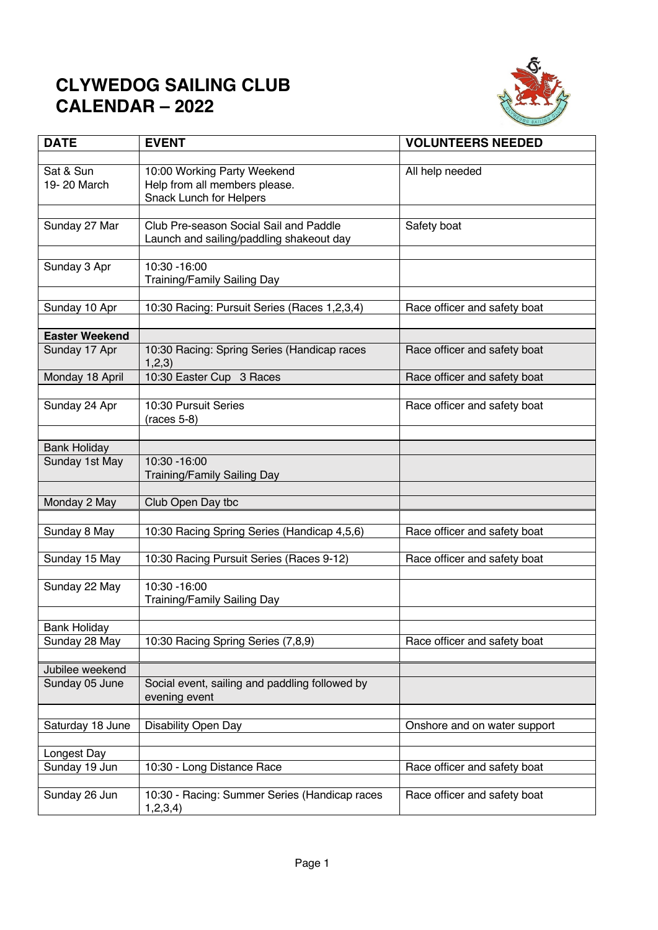## **CLYWEDOG SAILING CLUB CALENDAR – 2022**



| <b>DATE</b>              | <b>EVENT</b>                                                    | <b>VOLUNTEERS NEEDED</b>     |
|--------------------------|-----------------------------------------------------------------|------------------------------|
|                          |                                                                 |                              |
| Sat & Sun<br>19-20 March | 10:00 Working Party Weekend                                     | All help needed              |
|                          | Help from all members please.<br><b>Snack Lunch for Helpers</b> |                              |
|                          |                                                                 |                              |
| Sunday 27 Mar            | Club Pre-season Social Sail and Paddle                          | Safety boat                  |
|                          | Launch and sailing/paddling shakeout day                        |                              |
|                          |                                                                 |                              |
| Sunday 3 Apr             | 10:30 - 16:00                                                   |                              |
|                          | <b>Training/Family Sailing Day</b>                              |                              |
| Sunday 10 Apr            | 10:30 Racing: Pursuit Series (Races 1,2,3,4)                    | Race officer and safety boat |
|                          |                                                                 |                              |
| <b>Easter Weekend</b>    |                                                                 |                              |
| Sunday 17 Apr            | 10:30 Racing: Spring Series (Handicap races                     | Race officer and safety boat |
|                          | 1,2,3)                                                          |                              |
| Monday 18 April          | 10:30 Easter Cup 3 Races                                        | Race officer and safety boat |
|                          |                                                                 |                              |
| Sunday 24 Apr            | 10:30 Pursuit Series                                            | Race officer and safety boat |
|                          | $(races 5-8)$                                                   |                              |
| <b>Bank Holiday</b>      |                                                                 |                              |
| Sunday 1st May           | 10:30 - 16:00                                                   |                              |
|                          | <b>Training/Family Sailing Day</b>                              |                              |
|                          |                                                                 |                              |
| Monday 2 May             | Club Open Day tbc                                               |                              |
|                          |                                                                 |                              |
| Sunday 8 May             | 10:30 Racing Spring Series (Handicap 4,5,6)                     | Race officer and safety boat |
|                          |                                                                 |                              |
| Sunday 15 May            | 10:30 Racing Pursuit Series (Races 9-12)                        | Race officer and safety boat |
| Sunday 22 May            | 10:30 - 16:00                                                   |                              |
|                          | <b>Training/Family Sailing Day</b>                              |                              |
|                          |                                                                 |                              |
| <b>Bank Holiday</b>      |                                                                 |                              |
| Sunday 28 May            | 10:30 Racing Spring Series (7,8,9)                              | Race officer and safety boat |
|                          |                                                                 |                              |
| Jubilee weekend          |                                                                 |                              |
| Sunday 05 June           | Social event, sailing and paddling followed by<br>evening event |                              |
|                          |                                                                 |                              |
| Saturday 18 June         | Disability Open Day                                             | Onshore and on water support |
|                          |                                                                 |                              |
| Longest Day              |                                                                 |                              |
| Sunday 19 Jun            | 10:30 - Long Distance Race                                      | Race officer and safety boat |
|                          |                                                                 |                              |
| Sunday 26 Jun            | 10:30 - Racing: Summer Series (Handicap races                   | Race officer and safety boat |
|                          | 1,2,3,4)                                                        |                              |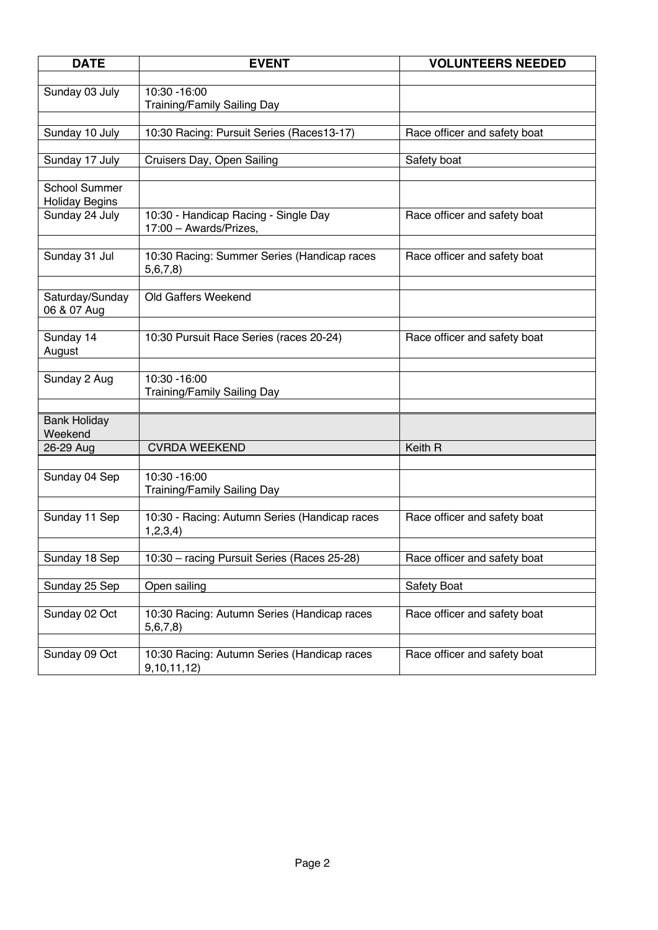| <b>DATE</b>                                   | <b>EVENT</b>                                                   | <b>VOLUNTEERS NEEDED</b>     |
|-----------------------------------------------|----------------------------------------------------------------|------------------------------|
|                                               |                                                                |                              |
| Sunday 03 July                                | 10:30 - 16:00<br><b>Training/Family Sailing Day</b>            |                              |
|                                               |                                                                |                              |
| Sunday 10 July                                | 10:30 Racing: Pursuit Series (Races13-17)                      | Race officer and safety boat |
| Sunday 17 July                                | Cruisers Day, Open Sailing                                     | Safety boat                  |
|                                               |                                                                |                              |
| <b>School Summer</b><br><b>Holiday Begins</b> |                                                                |                              |
| Sunday 24 July                                | 10:30 - Handicap Racing - Single Day<br>17:00 - Awards/Prizes, | Race officer and safety boat |
| Sunday 31 Jul                                 | 10:30 Racing: Summer Series (Handicap races<br>5,6,7,8         | Race officer and safety boat |
| Saturday/Sunday<br>06 & 07 Aug                | Old Gaffers Weekend                                            |                              |
|                                               |                                                                |                              |
| Sunday 14<br>August                           | 10:30 Pursuit Race Series (races 20-24)                        | Race officer and safety boat |
| Sunday 2 Aug                                  | 10:30 - 16:00                                                  |                              |
|                                               | Training/Family Sailing Day                                    |                              |
|                                               |                                                                |                              |
| <b>Bank Holiday</b><br>Weekend                |                                                                |                              |
| 26-29 Aug                                     | <b>CVRDA WEEKEND</b>                                           | Keith R                      |
|                                               |                                                                |                              |
| Sunday 04 Sep                                 | 10:30 - 16:00<br><b>Training/Family Sailing Day</b>            |                              |
|                                               |                                                                |                              |
| Sunday 11 Sep                                 | 10:30 - Racing: Autumn Series (Handicap races<br>1,2,3,4)      | Race officer and safety boat |
| Sunday 18 Sep                                 | 10:30 - racing Pursuit Series (Races 25-28)                    | Race officer and safety boat |
|                                               |                                                                |                              |
| Sunday 25 Sep                                 | Open sailing                                                   | Safety Boat                  |
| Sunday 02 Oct                                 | 10:30 Racing: Autumn Series (Handicap races<br>5,6,7,8         | Race officer and safety boat |
|                                               |                                                                |                              |
| Sunday 09 Oct                                 | 10:30 Racing: Autumn Series (Handicap races<br>9, 10, 11, 12)  | Race officer and safety boat |